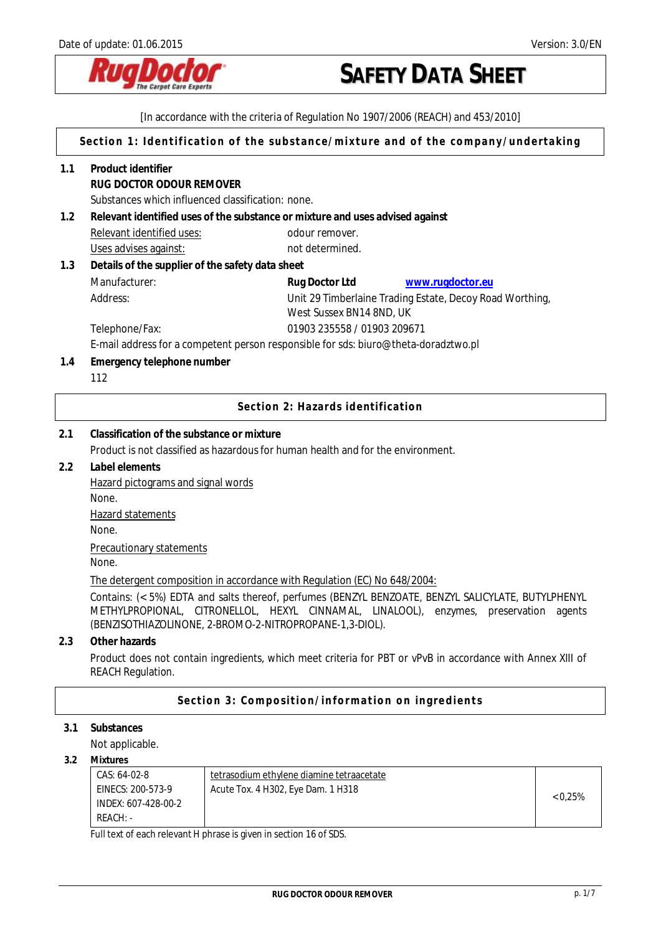

[In accordance with the criteria of Regulation No 1907/2006 (REACH) and 453/2010] **Section 1: Identification of the substance/mixture and of the company/undertaking 1.1 Product identifier RUG DOCTOR ODOUR REMOVER**  Substances which influenced classification: none. **1.2 Relevant identified uses of the substance or mixture and uses advised against**  Relevant identified uses: odour remover. Uses advises against: not determined. **1.3 Details of the supplier of the safety data sheet**  Manufacturer: **Rug Doctor Ltd [www.rugdoctor.eu](http://www.rugdoctor.eu/)** Address: Unit 29 Timberlaine Trading Estate, Decoy Road Worthing, West Sussex BN14 8ND, UK Telephone/Fax: 01903 235558 / 01903 209671 E-mail address for a competent person responsible for sds: biuro@theta-doradztwo.pl **1.4 Emergency telephone number** 112 **Section 2: Hazards identification 2.1 Classification of the substance or mixture**  Product is not classified as hazardous for human health and for the environment. **2.2 Label elements**  Hazard pictograms and signal words None. Hazard statements None. Precautionary statements None. The detergent composition in accordance with Regulation (EC) No 648/2004: Contains: (< 5%) EDTA and salts thereof, perfumes (BENZYL BENZOATE, BENZYL SALICYLATE, BUTYLPHENYL METHYLPROPIONAL, CITRONELLOL, HEXYL CINNAMAL, LINALOOL), enzymes, preservation agents (BENZISOTHIAZOLINONE, 2-BROMO-2-NITROPROPANE-1,3-DIOL). **2.3 Other hazards**  Product does not contain ingredients, which meet criteria for PBT or vPvB in accordance with Annex XIII of REACH Regulation. **Section 3: Composition/information on ingredients 3.1 Substances**  Not applicable. **3.2 Mixtures**  CAS: 64-02-8 EINECS: 200-573-9 INDEX: 607-428-00-2 REACH: tetrasodium ethylene diamine tetraacetate Acute Tox. 4 H302, Eye Dam. 1 H318  $(0.25\%)$ 

Full text of each relevant H phrase is given in section 16 of SDS.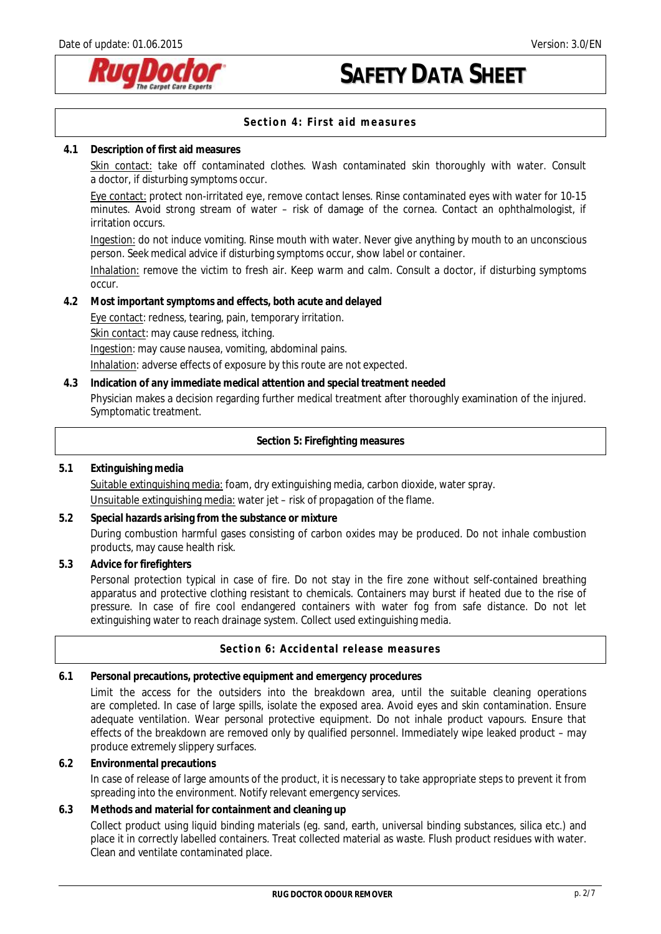

## **Section 4: First aid measures**

### **4.1 Description of first aid measures**

Skin contact: take off contaminated clothes. Wash contaminated skin thoroughly with water. Consult a doctor, if disturbing symptoms occur.

Eye contact: protect non-irritated eye, remove contact lenses. Rinse contaminated eyes with water for 10-15 minutes. Avoid strong stream of water – risk of damage of the cornea. Contact an ophthalmologist, if irritation occurs.

Ingestion: do not induce vomiting. Rinse mouth with water. Never give anything by mouth to an unconscious person. Seek medical advice if disturbing symptoms occur, show label or container.

Inhalation: remove the victim to fresh air. Keep warm and calm. Consult a doctor, if disturbing symptoms occur.

**4.2 Most important symptoms and effects, both acute and delayed** 

Eye contact: redness, tearing, pain, temporary irritation.

Skin contact: may cause redness, itching.

Ingestion: may cause nausea, vomiting, abdominal pains.

Inhalation: adverse effects of exposure by this route are not expected.

**4.3 Indication of any immediate medical attention and special treatment needed**

Physician makes a decision regarding further medical treatment after thoroughly examination of the injured. Symptomatic treatment.

**Section 5: Firefighting measures**

## **5.1 Extinguishing media**  Suitable extinguishing media: foam, dry extinguishing media, carbon dioxide, water spray. Unsuitable extinguishing media: water jet – risk of propagation of the flame.

**5.2 Special hazards arising from the substance or mixture**  During combustion harmful gases consisting of carbon oxides may be produced. Do not inhale combustion products, may cause health risk.

**5.3 Advice for firefighters** 

Personal protection typical in case of fire. Do not stay in the fire zone without self-contained breathing apparatus and protective clothing resistant to chemicals. Containers may burst if heated due to the rise of pressure. In case of fire cool endangered containers with water fog from safe distance. Do not let extinguishing water to reach drainage system. Collect used extinguishing media.

### **Section 6: Accidental release measures**

**6.1 Personal precautions, protective equipment and emergency procedures** 

Limit the access for the outsiders into the breakdown area, until the suitable cleaning operations are completed. In case of large spills, isolate the exposed area. Avoid eyes and skin contamination. Ensure adequate ventilation. Wear personal protective equipment. Do not inhale product vapours. Ensure that effects of the breakdown are removed only by qualified personnel. Immediately wipe leaked product – may produce extremely slippery surfaces.

**6.2 Environmental precautions** 

In case of release of large amounts of the product, it is necessary to take appropriate steps to prevent it from spreading into the environment. Notify relevant emergency services.

**6.3 Methods and material for containment and cleaning up**

Collect product using liquid binding materials (eg. sand, earth, universal binding substances, silica etc.) and place it in correctly labelled containers. Treat collected material as waste. Flush product residues with water. Clean and ventilate contaminated place.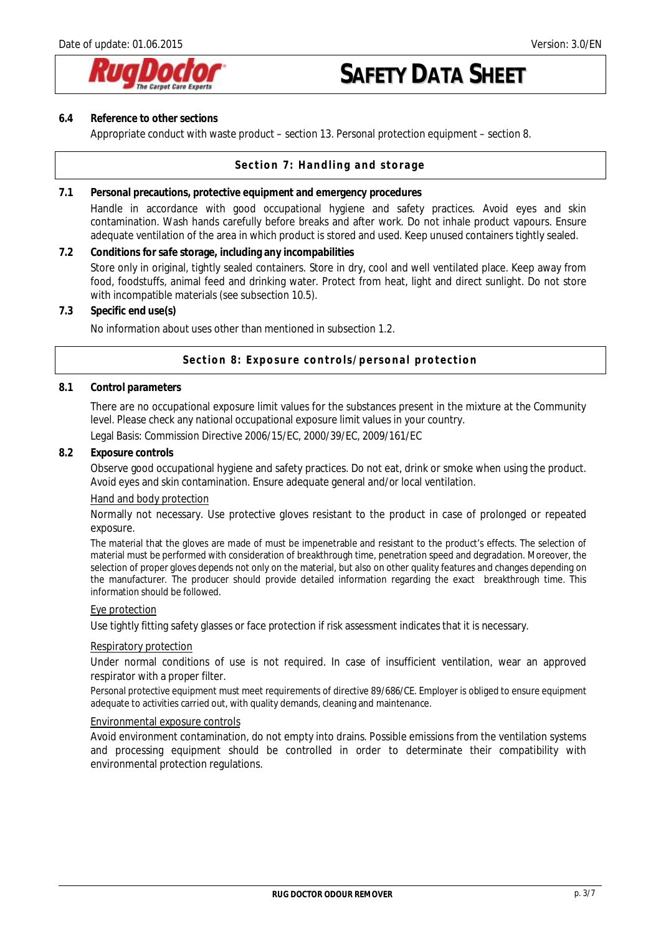

### **6.4 Reference to other sections**

Appropriate conduct with waste product – section 13. Personal protection equipment – section 8.

### **Section 7: Handling and storage**

**7.1 Personal precautions, protective equipment and emergency procedures**  Handle in accordance with good occupational hygiene and safety practices. Avoid eyes and skin contamination. Wash hands carefully before breaks and after work. Do not inhale product vapours. Ensure adequate ventilation of the area in which product is stored and used. Keep unused containers tightly sealed.

**7.2 Conditions for safe storage, including any incompabilities**  Store only in original, tightly sealed containers. Store in dry, cool and well ventilated place. Keep away from food, foodstuffs, animal feed and drinking water. Protect from heat, light and direct sunlight. Do not store with incompatible materials (see subsection 10.5).

**7.3 Specific end use(s)** 

No information about uses other than mentioned in subsection 1.2.

### **Section 8: Exposure controls/personal protection**

### **8.1 Control parameters**

There are no occupational exposure limit values for the substances present in the mixture at the Community level. Please check any national occupational exposure limit values in your country.

Legal Basis: Commission Directive 2006/15/EC, 2000/39/EC, 2009/161/EC

### **8.2 Exposure controls**

Observe good occupational hygiene and safety practices. Do not eat, drink or smoke when using the product. Avoid eyes and skin contamination. Ensure adequate general and/or local ventilation.

#### Hand and body protection

Normally not necessary. Use protective gloves resistant to the product in case of prolonged or repeated exposure.

The material that the gloves are made of must be impenetrable and resistant to the product's effects. The selection of material must be performed with consideration of breakthrough time, penetration speed and degradation. Moreover, the selection of proper gloves depends not only on the material, but also on other quality features and changes depending on the manufacturer. The producer should provide detailed information regarding the exact breakthrough time. This information should be followed.

#### Eye protection

Use tightly fitting safety glasses or face protection if risk assessment indicates that it is necessary.

#### Respiratory protection

Under normal conditions of use is not required. In case of insufficient ventilation, wear an approved respirator with a proper filter.

Personal protective equipment must meet requirements of directive 89/686/CE. Employer is obliged to ensure equipment adequate to activities carried out, with quality demands, cleaning and maintenance.

### Environmental exposure controls

Avoid environment contamination, do not empty into drains. Possible emissions from the ventilation systems and processing equipment should be controlled in order to determinate their compatibility with environmental protection regulations.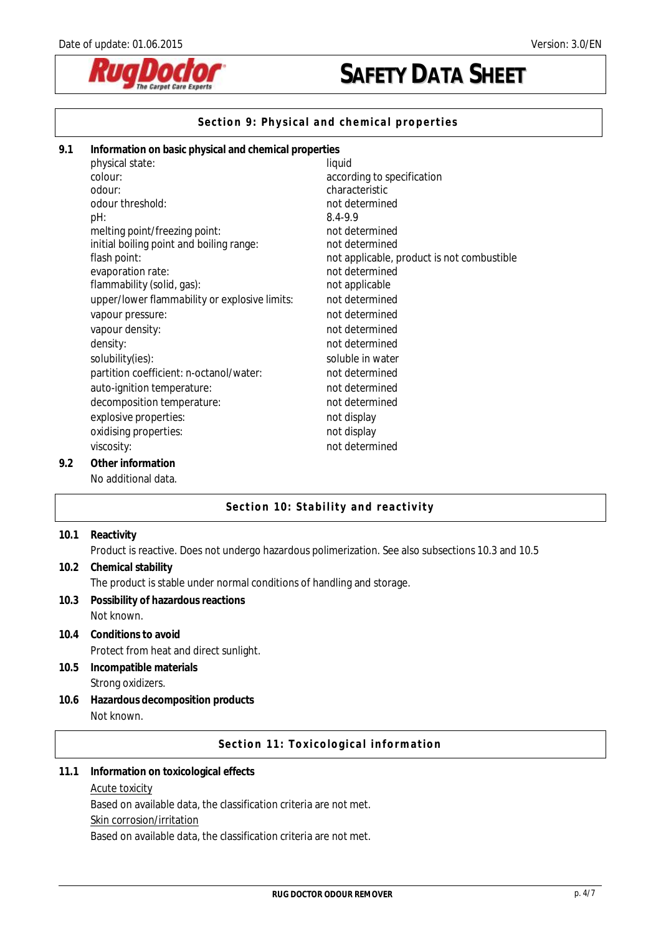

## **Section 9: Physical and chemical properties**

| 9.1 | Information on basic physical and chemical properties |                                            |  |
|-----|-------------------------------------------------------|--------------------------------------------|--|
|     | physical state:                                       | liquid                                     |  |
|     | colour:                                               | according to specification                 |  |
|     | odour:                                                | characteristic                             |  |
|     | odour threshold:                                      | not determined                             |  |
|     | pH:                                                   | 8.4-9.9                                    |  |
|     | melting point/freezing point:                         | not determined                             |  |
|     | initial boiling point and boiling range:              | not determined                             |  |
|     | flash point:                                          | not applicable, product is not combustible |  |
|     | evaporation rate:                                     | not determined                             |  |
|     | flammability (solid, gas):                            | not applicable                             |  |
|     | upper/lower flammability or explosive limits:         | not determined                             |  |
|     | vapour pressure:                                      | not determined                             |  |
|     | vapour density:                                       | not determined                             |  |
|     | density:                                              | not determined                             |  |
|     | solubility(ies):                                      | soluble in water                           |  |
|     | partition coefficient: n-octanol/water:               | not determined                             |  |
|     | auto-ignition temperature:                            | not determined                             |  |
|     | decomposition temperature:                            | not determined                             |  |
|     | explosive properties:                                 | not display                                |  |
|     | oxidising properties:                                 | not display                                |  |
|     | viscosity:                                            | not determined                             |  |
| 9.2 | Other information                                     |                                            |  |
|     | No additional data.                                   |                                            |  |

## **Section 10: Stability and reactivity**

| 10.1 | Reactivity                                                                                         |
|------|----------------------------------------------------------------------------------------------------|
|      | Product is reactive. Does not undergo hazardous polimerization. See also subsections 10.3 and 10.5 |
| 10.2 | Chemical stability                                                                                 |
|      | The product is stable under normal conditions of handling and storage.                             |
| 10.3 | Possibility of hazardous reactions                                                                 |
|      | Not known.                                                                                         |
| 10.4 | Conditions to avoid                                                                                |
|      | Protect from heat and direct sunlight.                                                             |
| 10.5 | Incompatible materials                                                                             |
|      | Strong oxidizers.                                                                                  |
| 10.6 | Hazardous decomposition products                                                                   |
|      | Not known.                                                                                         |
|      | Section 11: Toxicological information                                                              |
| 11.1 | Information on toxicological effects                                                               |
|      | <b>Acute toxicity</b>                                                                              |
|      | Based on available data, the classification criteria are not met.                                  |
|      | Skin corrosion/irritation                                                                          |

Based on available data, the classification criteria are not met.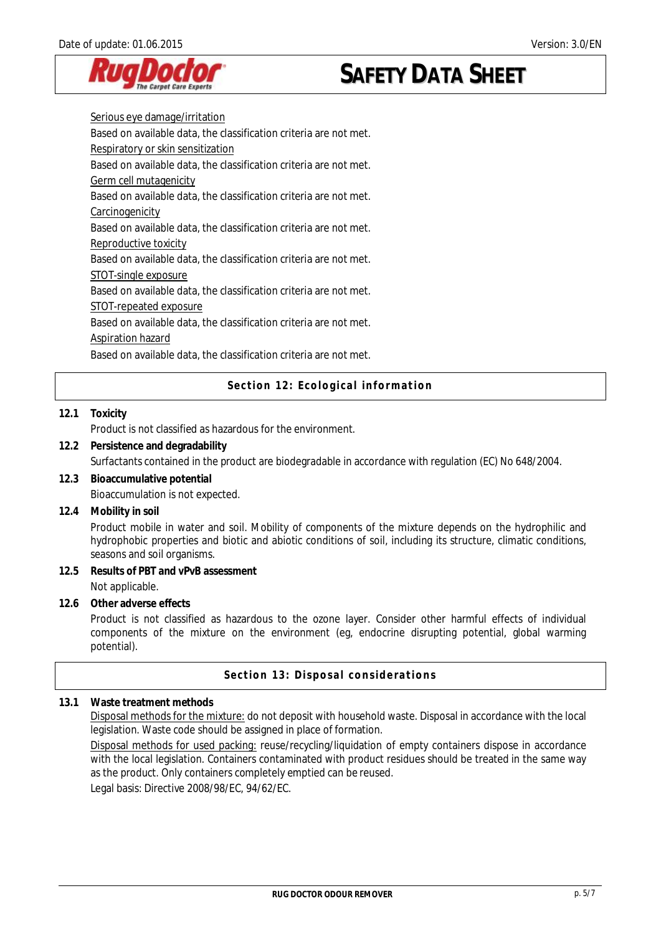

Serious eye damage/irritation Based on available data, the classification criteria are not met. Respiratory or skin sensitization Based on available data, the classification criteria are not met. Germ cell mutagenicity Based on available data, the classification criteria are not met. **Carcinogenicity** Based on available data, the classification criteria are not met. Reproductive toxicity Based on available data, the classification criteria are not met. STOT-single exposure Based on available data, the classification criteria are not met. STOT-repeated exposure Based on available data, the classification criteria are not met. Aspiration hazard Based on available data, the classification criteria are not met.

**Section 12: Ecological information** 

### **12.1 Toxicity**

Product is not classified as hazardous for the environment.

- **12.2 Persistence and degradability**  Surfactants contained in the product are biodegradable in accordance with regulation (EC) No 648/2004.
- **12.3 Bioaccumulative potential**  Bioaccumulation is not expected.
- **12.4 Mobility in soil**

Product mobile in water and soil. Mobility of components of the mixture depends on the hydrophilic and hydrophobic properties and biotic and abiotic conditions of soil, including its structure, climatic conditions, seasons and soil organisms.

- **12.5 Results of PBT and vPvB assessment**  Not applicable.
- **12.6 Other adverse effects**

Product is not classified as hazardous to the ozone layer. Consider other harmful effects of individual components of the mixture on the environment (eg, endocrine disrupting potential, global warming potential).

### **Section 13: Disposal considerations**

### **13.1 Waste treatment methods**

Disposal methods for the mixture: do not deposit with household waste. Disposal in accordance with the local legislation. Waste code should be assigned in place of formation.

Disposal methods for used packing: reuse/recycling/liquidation of empty containers dispose in accordance with the local legislation. Containers contaminated with product residues should be treated in the same way as the product. Only containers completely emptied can be reused.

Legal basis: Directive 2008/98/EC, 94/62/EC.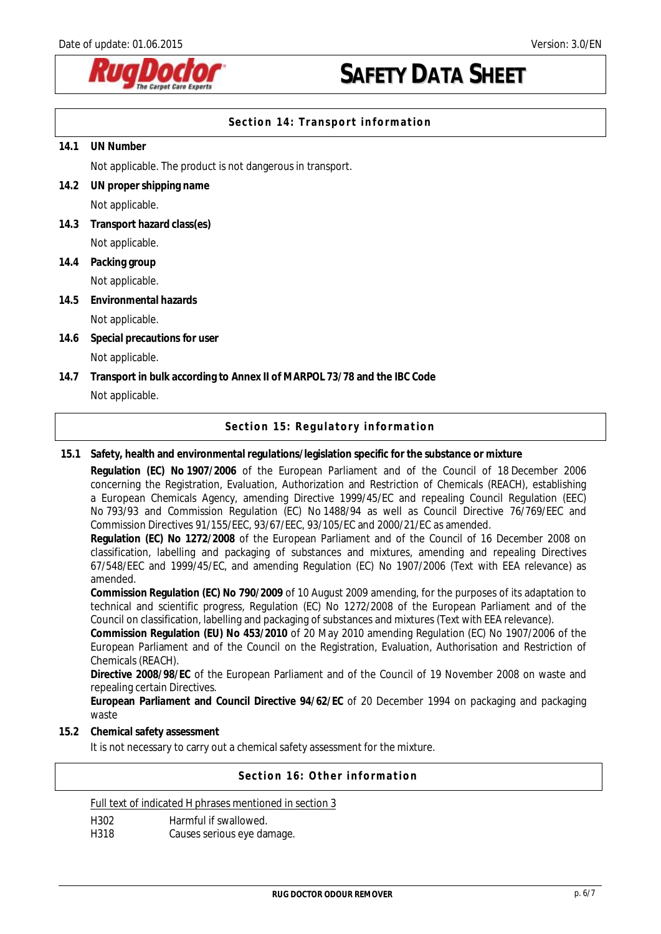

## **Section 14: Transport information**

### **14.1 UN Number**

Not applicable. The product is not dangerous in transport.

- **14.2 UN proper shipping name**  Not applicable.
- **14.3 Transport hazard class(es)**  Not applicable.
- **14.4 Packing group**

Not applicable.

**14.5 Environmental hazards** 

### Not applicable.

- **14.6 Special precautions for user**  Not applicable.
- **14.7 Transport in bulk according to Annex II of MARPOL 73/78 and the IBC Code**  Not applicable.

## **Section 15: Regulatory information**

### **15.1 Safety, health and environmental regulations/legislation specific for the substance or mixture**

**Regulation (EC) No 1907/2006** of the European Parliament and of the Council of 18 December 2006 concerning the Registration, Evaluation, Authorization and Restriction of Chemicals (REACH), establishing a European Chemicals Agency, amending Directive 1999/45/EC and repealing Council Regulation (EEC) No 793/93 and Commission Regulation (EC) No 1488/94 as well as Council Directive 76/769/EEC and Commission Directives 91/155/EEC, 93/67/EEC, 93/105/EC and 2000/21/EC as amended.

**Regulation (EC) No 1272/2008** of the European Parliament and of the Council of 16 December 2008 on classification, labelling and packaging of substances and mixtures, amending and repealing Directives 67/548/EEC and 1999/45/EC, and amending Regulation (EC) No 1907/2006 (Text with EEA relevance) as amended.

**Commission Regulation (EC) No 790/2009** of 10 August 2009 amending, for the purposes of its adaptation to technical and scientific progress, Regulation (EC) No 1272/2008 of the European Parliament and of the Council on classification, labelling and packaging of substances and mixtures (Text with EEA relevance).

**Commission Regulation (EU) No 453/2010** of 20 May 2010 amending Regulation (EC) No 1907/2006 of the European Parliament and of the Council on the Registration, Evaluation, Authorisation and Restriction of Chemicals (REACH).

**Directive 2008/98/EC** of the European Parliament and of the Council of 19 November 2008 on waste and repealing certain Directives.

**European Parliament and Council Directive 94/62/EC** of 20 December 1994 on packaging and packaging waste

### **15.2 Chemical safety assessment**

It is not necessary to carry out a chemical safety assessment for the mixture.

## **Section 16: Other information**

### Full text of indicated H phrases mentioned in section 3

H<sub>3</sub> Harmful if swallowed.<br>
H<sub>318</sub> H<sub>318</sub> Causes serious eve da

Causes serious eye damage.